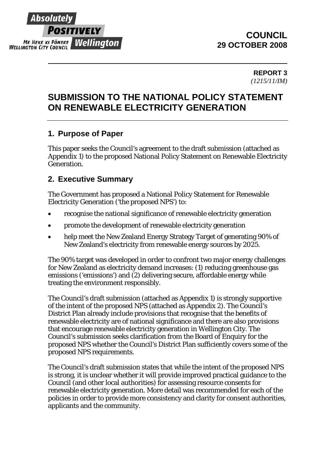

# **COUNCIL 29 OCTOBER 2008**

### **REPORT 3**  *(1215/11/IM)*

# **SUBMISSION TO THE NATIONAL POLICY STATEMENT ON RENEWABLE ELECTRICITY GENERATION**

# **1. Purpose of Paper**

This paper seeks the Council's agreement to the draft submission (attached as Appendix 1) to the proposed National Policy Statement on Renewable Electricity Generation.

# **2. Executive Summary**

The Government has proposed a National Policy Statement for Renewable Electricity Generation ('the proposed NPS') to:

- recognise the national significance of renewable electricity generation
- promote the development of renewable electricity generation
- help meet the New Zealand Energy Strategy Target of generating 90% of New Zealand's electricity from renewable energy sources by 2025.

The 90% target was developed in order to confront two major energy challenges for New Zealand as electricity demand increases: (1) reducing greenhouse gas emissions ('emissions') and (2) delivering secure, affordable energy while treating the environment responsibly.

The Council's draft submission (attached as Appendix 1) is strongly supportive of the intent of the proposed NPS (attached as Appendix 2). The Council's District Plan already include provisions that recognise that the benefits of renewable electricity are of national significance and there are also provisions that encourage renewable electricity generation in Wellington City. The Council's submission seeks clarification from the Board of Enquiry for the proposed NPS whether the Council's District Plan sufficiently covers some of the proposed NPS requirements.

The Council's draft submission states that while the intent of the proposed NPS is strong, it is unclear whether it will provide improved practical guidance to the Council (and other local authorities) for assessing resource consents for renewable electricity generation. More detail was recommended for each of the policies in order to provide more consistency and clarity for consent authorities, applicants and the community.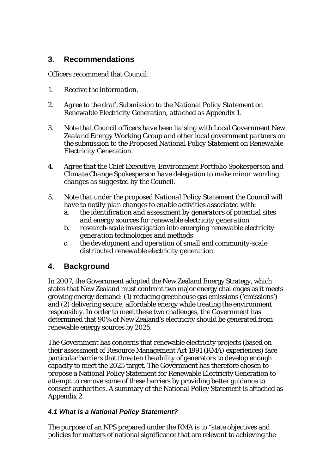# **3. Recommendations**

Officers recommend that Council:

- *1. Receive the information.*
- *2. Agree to the draft Submission to the National Policy Statement on Renewable Electricity Generation, attached as Appendix 1.*
- *3. Note that Council officers have been liaising with Local Government New Zealand Energy Working Group and other local government partners on the submission to the Proposed National Policy Statement on Renewable Electricity Generation.*
- *4. Agree that the Chief Executive, Environment Portfolio Spokesperson and Climate Change Spokesperson have delegation to make minor wording changes as suggested by the Council.*
- *5. Note that under the proposed National Policy Statement the Council will have to notify plan changes to enable activities associated with:* 
	- *a. the identification and assessment by generators of potential sites and energy sources for renewable electricity generation*
	- *b. research-scale investigation into emerging renewable electricity generation technologies and methods*
	- *c. the development and operation of small and community-scale distributed renewable electricity generation.*

# **4. Background**

In 2007, the Government adopted the New Zealand Energy Strategy, which states that New Zealand must confront two major energy challenges as it meets growing energy demand: (1) reducing greenhouse gas emissions ('emissions') and (2) delivering secure, affordable energy while treating the environment responsibly. In order to meet these two challenges, the Government has determined that 90% of New Zealand's electricity should be generated from renewable energy sources by 2025.

The Government has concerns that renewable electricity projects (based on their assessment of Resource Management Act 1991 (RMA) experiences) face particular barriers that threaten the ability of generators to develop enough capacity to meet the 2025 target. The Government has therefore chosen to propose a National Policy Statement for Renewable Electricity Generation to attempt to remove some of these barriers by providing better guidance to consent authorities. A summary of the National Policy Statement is attached as Appendix 2.

# *4.1 What is a National Policy Statement?*

The purpose of an NPS prepared under the RMA is to "state objectives and policies for matters of national significance that are relevant to achieving the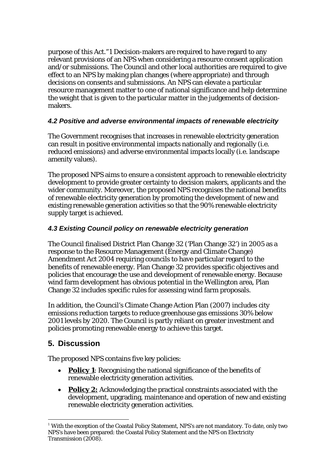purpose of this Act."[1](#page-2-0) Decision-makers are required to have regard to any relevant provisions of an NPS when considering a resource consent application and/or submissions. The Council and other local authorities are required to give effect to an NPS by making plan changes (where appropriate) and through decisions on consents and submissions. An NPS can elevate a particular resource management matter to one of national significance and help determine the weight that is given to the particular matter in the judgements of decisionmakers.

## *4.2 Positive and adverse environmental impacts of renewable electricity*

The Government recognises that increases in renewable electricity generation can result in positive environmental impacts nationally and regionally (i.e. reduced emissions) and adverse environmental impacts locally (i.e. landscape amenity values).

The proposed NPS aims to ensure a consistent approach to renewable electricity development to provide greater certainty to decision makers, applicants and the wider community. Moreover, the proposed NPS recognises the national benefits of renewable electricity generation by promoting the development of new and existing renewable generation activities so that the 90% renewable electricity supply target is achieved.

# *4.3 Existing Council policy on renewable electricity generation*

The Council finalised District Plan Change 32 ('Plan Change 32') in 2005 as a response to the Resource Management (Energy and Climate Change) Amendment Act 2004 requiring councils to have particular regard to the benefits of renewable energy. Plan Change 32 provides specific objectives and policies that encourage the use and development of renewable energy. Because wind farm development has obvious potential in the Wellington area, Plan Change 32 includes specific rules for assessing wind farm proposals.

In addition, the Council's Climate Change Action Plan (2007) includes city emissions reduction targets to reduce greenhouse gas emissions 30% below 2001 levels by 2020. The Council is partly reliant on greater investment and policies promoting renewable energy to achieve this target.

# **5. Discussion**

The proposed NPS contains five key policies:

- **Policy 1**: Recognising the national significance of the benefits of renewable electricity generation activities.
- **Policy 2:** Acknowledging the practical constraints associated with the development, upgrading, maintenance and operation of new and existing renewable electricity generation activities.

<span id="page-2-0"></span> $\overline{a}$  $1$  With the exception of the Coastal Policy Statement, NPS's are not mandatory. To date, only two NPS's have been prepared: the Coastal Policy Statement and the NPS on Electricity Transmission (2008).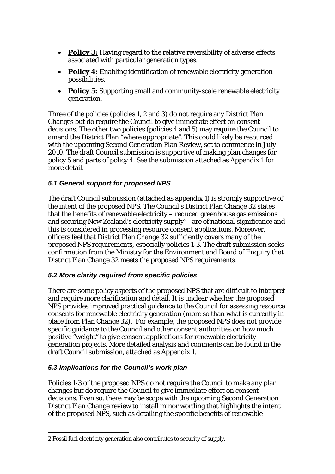- **Policy 3:** Having regard to the relative reversibility of adverse effects associated with particular generation types.
- **Policy 4:** Enabling identification of renewable electricity generation possibilities.
- **Policy 5:** Supporting small and community-scale renewable electricity generation.

Three of the policies (policies 1, 2 and 3) do not require any District Plan Changes but do require the Council to give immediate effect on consent decisions. The other two policies (policies 4 and 5) may require the Council to amend the District Plan "where appropriate". This could likely be resourced with the upcoming Second Generation Plan Review, set to commence in July 2010. The draft Council submission is supportive of making plan changes for policy 5 and parts of policy 4. See the submission attached as Appendix 1 for more detail.

# *5.1 General support for proposed NPS*

The draft Council submission (attached as appendix 1) is strongly supportive of the intent of the proposed NPS. The Council's District Plan Change 32 states that the benefits of renewable electricity – reduced greenhouse gas emissions and securing New Zealand's electricity supply[2](#page-3-0) - are of national significance and this is considered in processing resource consent applications. Moreover, officers feel that District Plan Change 32 sufficiently covers many of the proposed NPS requirements, especially policies 1-3. The draft submission seeks confirmation from the Ministry for the Environment and Board of Enquiry that District Plan Change 32 meets the proposed NPS requirements.

# *5.2 More clarity required from specific policies*

There are some policy aspects of the proposed NPS that are difficult to interpret and require more clarification and detail. It is unclear whether the proposed NPS provides improved practical guidance to the Council for assessing resource consents for renewable electricity generation (more so than what is currently in place from Plan Change 32). For example, the proposed NPS does not provide specific guidance to the Council and other consent authorities on how much positive "weight" to give consent applications for renewable electricity generation projects. More detailed analysis and comments can be found in the draft Council submission, attached as Appendix 1.

### *5.3 Implications for the Council's work plan*

Policies 1-3 of the proposed NPS do not require the Council to make any plan changes but do require the Council to give immediate effect on consent decisions. Even so, there may be scope with the upcoming Second Generation District Plan Change review to install minor wording that highlights the intent of the proposed NPS, such as detailing the specific benefits of renewable

<span id="page-3-0"></span> $\overline{a}$ 2 Fossil fuel electricity generation also contributes to security of supply.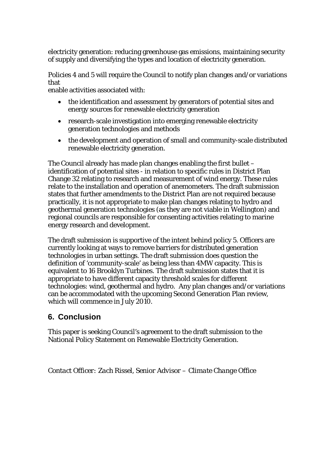electricity generation: reducing greenhouse gas emissions, maintaining security of supply and diversifying the types and location of electricity generation.

Policies 4 and 5 will require the Council to notify plan changes and/or variations that

enable activities associated with:

- the identification and assessment by generators of potential sites and energy sources for renewable electricity generation
- research-scale investigation into emerging renewable electricity generation technologies and methods
- the development and operation of small and community-scale distributed renewable electricity generation.

The Council already has made plan changes enabling the first bullet – identification of potential sites - in relation to specific rules in District Plan Change 32 relating to research and measurement of wind energy. These rules relate to the installation and operation of anemometers. The draft submission states that further amendments to the District Plan are not required because practically, it is not appropriate to make plan changes relating to hydro and geothermal generation technologies (as they are not viable in Wellington) and regional councils are responsible for consenting activities relating to marine energy research and development.

The draft submission is supportive of the intent behind policy 5. Officers are currently looking at ways to remove barriers for distributed generation technologies in urban settings. The draft submission does question the definition of 'community-scale' as being less than 4MW capacity. This is equivalent to 16 Brooklyn Turbines. The draft submission states that it is appropriate to have different capacity threshold scales for different technologies: wind, geothermal and hydro. Any plan changes and/or variations can be accommodated with the upcoming Second Generation Plan review, which will commence in July 2010.

# **6. Conclusion**

This paper is seeking Council's agreement to the draft submission to the National Policy Statement on Renewable Electricity Generation.

*Contact Officer: Zach Rissel, Senior Advisor – Climate Change Office*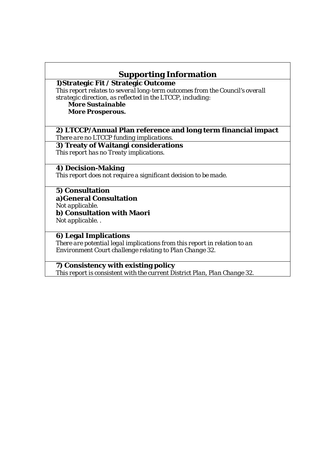# **Supporting Information**

**1)Strategic Fit / Strategic Outcome** 

*This report relates to several long-term outcomes from the Council's overall strategic direction, as reflected in the LTCCP, including:* 

*More Sustainable More Prosperous.*

#### **2) LTCCP/Annual Plan reference and long term financial impact**  *There are no LTCCP funding implications.*

**3) Treaty of Waitangi considerations**  *This report has no Treaty implications.* 

### **4) Decision-Making**

*This report does not require a significant decision to be made.* 

### **5) Consultation**

**a)General Consultation** 

*Not applicable.*

**b) Consultation with Maori** 

*Not applicable. .* 

### **6) Legal Implications**

*There are potential legal implications from this report in relation to an Environment Court challenge relating to Plan Change 32.* 

### **7) Consistency with existing policy**

*This report is consistent with the current District Plan, Plan Change 32.*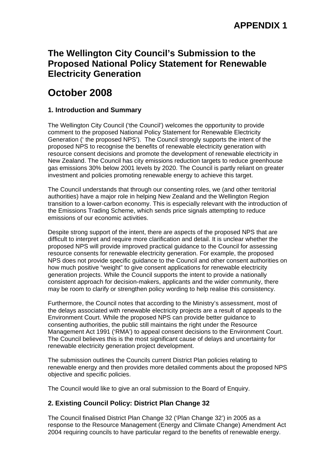# **The Wellington City Council's Submission to the Proposed National Policy Statement for Renewable Electricity Generation**

# **October 2008**

### **1. Introduction and Summary**

The Wellington City Council ('the Council') welcomes the opportunity to provide comment to the proposed National Policy Statement for Renewable Electricity Generation (' the proposed NPS'). The Council strongly supports the intent of the proposed NPS to recognise the benefits of renewable electricity generation with resource consent decisions and promote the development of renewable electricity in New Zealand. The Council has city emissions reduction targets to reduce greenhouse gas emissions 30% below 2001 levels by 2020. The Council is partly reliant on greater investment and policies promoting renewable energy to achieve this target.

The Council understands that through our consenting roles, we (and other territorial authorities) have a major role in helping New Zealand and the Wellington Region transition to a lower-carbon economy. This is especially relevant with the introduction of the Emissions Trading Scheme, which sends price signals attempting to reduce emissions of our economic activities.

Despite strong support of the intent, there are aspects of the proposed NPS that are difficult to interpret and require more clarification and detail. It is unclear whether the proposed NPS will provide improved practical guidance to the Council for assessing resource consents for renewable electricity generation. For example, the proposed NPS does not provide specific guidance to the Council and other consent authorities on how much positive "weight" to give consent applications for renewable electricity generation projects. While the Council supports the intent to provide a nationally consistent approach for decision-makers, applicants and the wider community, there may be room to clarify or strengthen policy wording to help realise this consistency.

Furthermore, the Council notes that according to the Ministry's assessment, most of the delays associated with renewable electricity projects are a result of appeals to the Environment Court. While the proposed NPS can provide better guidance to consenting authorities, the public still maintains the right under the Resource Management Act 1991 ('RMA') to appeal consent decisions to the Environment Court. The Council believes this is the most significant cause of delays and uncertainty for renewable electricity generation project development.

The submission outlines the Councils current District Plan policies relating to renewable energy and then provides more detailed comments about the proposed NPS objective and specific policies.

The Council would like to give an oral submission to the Board of Enquiry.

### **2. Existing Council Policy: District Plan Change 32**

The Council finalised District Plan Change 32 ('Plan Change 32') in 2005 as a response to the Resource Management (Energy and Climate Change) Amendment Act 2004 requiring councils to have particular regard to the benefits of renewable energy.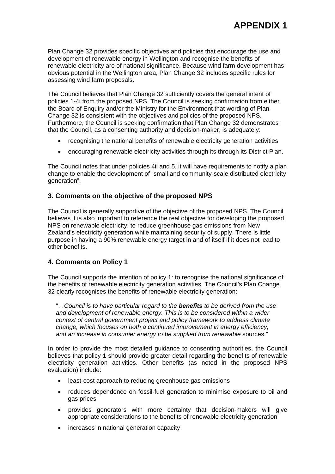Plan Change 32 provides specific objectives and policies that encourage the use and development of renewable energy in Wellington and recognise the benefits of renewable electricity are of national significance. Because wind farm development has obvious potential in the Wellington area, Plan Change 32 includes specific rules for assessing wind farm proposals.

The Council believes that Plan Change 32 sufficiently covers the general intent of policies 1-4i from the proposed NPS. The Council is seeking confirmation from either the Board of Enquiry and/or the Ministry for the Environment that wording of Plan Change 32 is consistent with the objectives and policies of the proposed NPS. Furthermore, the Council is seeking confirmation that Plan Change 32 demonstrates that the Council, as a consenting authority and decision-maker, is adequately:

- recognising the national benefits of renewable electricity generation activities
- encouraging renewable electricity activities through its through its District Plan.

The Council notes that under policies 4ii and 5, it will have requirements to notify a plan change to enable the development of "small and community-scale distributed electricity generation".

### **3. Comments on the objective of the proposed NPS**

The Council is generally supportive of the objective of the proposed NPS. The Council believes it is also important to reference the real objective for developing the proposed NPS on renewable electricity: to reduce greenhouse gas emissions from New Zealand's electricity generation while maintaining security of supply. There is little purpose in having a 90% renewable energy target in and of itself if it does not lead to other benefits.

### **4. Comments on Policy 1**

The Council supports the intention of policy 1: to recognise the national significance of the benefits of renewable electricity generation activities. The Council's Plan Change 32 clearly recognises the benefits of renewable electricity generation:

"…*Council is to have particular regard to the benefits to be derived from the use and development of renewable energy. This is to be considered within a wider context of central government project and policy framework to address climate change, which focuses on both a continued improvement in energy efficiency, and an increase in consumer energy to be supplied from renewable* sources."

In order to provide the most detailed guidance to consenting authorities, the Council believes that policy 1 should provide greater detail regarding the benefits of renewable electricity generation activities. Other benefits (as noted in the proposed NPS evaluation) include:

- least-cost approach to reducing greenhouse gas emissions
- reduces dependence on fossil-fuel generation to minimise exposure to oil and gas prices
- provides generators with more certainty that decision-makers will give appropriate considerations to the benefits of renewable electricity generation
- increases in national generation capacity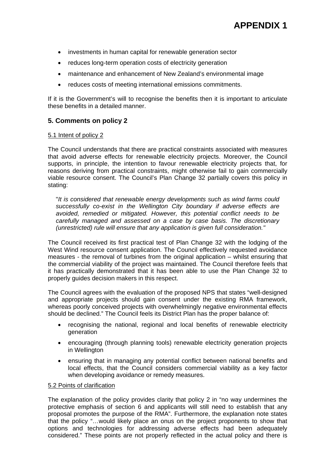- investments in human capital for renewable generation sector
- reduces long-term operation costs of electricity generation
- maintenance and enhancement of New Zealand's environmental image
- reduces costs of meeting international emissions commitments.

If it is the Government's will to recognise the benefits then it is important to articulate these benefits in a detailed manner.

### **5. Comments on policy 2**

#### 5.1 Intent of policy 2

The Council understands that there are practical constraints associated with measures that avoid adverse effects for renewable electricity projects. Moreover, the Council supports, in principle, the intention to favour renewable electricity projects that, for reasons deriving from practical constraints, might otherwise fail to gain commercially viable resource consent. The Council's Plan Change 32 partially covers this policy in stating:

"*It is considered that renewable energy developments such as wind farms could successfully co-exist in the Wellington City boundary if adverse effects are avoided, remedied or mitigated. However, this potential conflict needs to be carefully managed and assessed on a case by case basis. The discretionary (unrestricted) rule will ensure that any application is given full consideration."*

The Council received its first practical test of Plan Change 32 with the lodging of the West Wind resource consent application. The Council effectively requested avoidance measures - the removal of turbines from the original application – whilst ensuring that the commercial viability of the project was maintained. The Council therefore feels that it has practically demonstrated that it has been able to use the Plan Change 32 to properly guides decision makers in this respect.

The Council agrees with the evaluation of the proposed NPS that states "well-designed and appropriate projects should gain consent under the existing RMA framework, whereas poorly conceived projects with overwhelmingly negative environmental effects should be declined." The Council feels its District Plan has the proper balance of:

- recognising the national, regional and local benefits of renewable electricity generation
- encouraging (through planning tools) renewable electricity generation projects in Wellington
- ensuring that in managing any potential conflict between national benefits and local effects, that the Council considers commercial viability as a key factor when developing avoidance or remedy measures.

#### 5.2 Points of clarification

The explanation of the policy provides clarity that policy 2 in "no way undermines the protective emphasis of section 6 and applicants will still need to establish that any proposal promotes the purpose of the RMA". Furthermore, the explanation note states that the policy "…would likely place an onus on the project proponents to show that options and technologies for addressing adverse effects had been adequately considered." These points are not properly reflected in the actual policy and there is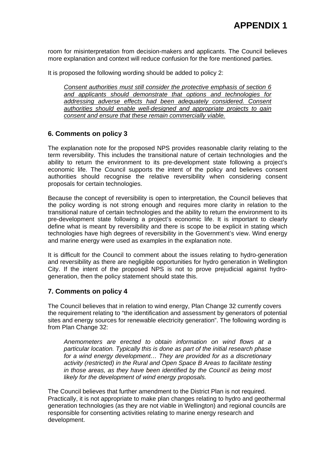room for misinterpretation from decision-makers and applicants. The Council believes more explanation and context will reduce confusion for the fore mentioned parties.

It is proposed the following wording should be added to policy 2:

*Consent authorities must still consider the protective emphasis of section 6 and applicants should demonstrate that options and technologies for addressing adverse effects had been adequately considered. Consent authorities should enable well-designed and appropriate projects to gain consent and ensure that these remain commercially viable.* 

### **6. Comments on policy 3**

The explanation note for the proposed NPS provides reasonable clarity relating to the term reversibility. This includes the transitional nature of certain technologies and the ability to return the environment to its pre-development state following a project's economic life. The Council supports the intent of the policy and believes consent authorities should recognise the relative reversibility when considering consent proposals for certain technologies.

Because the concept of reversibility is open to interpretation, the Council believes that the policy wording is not strong enough and requires more clarity in relation to the transitional nature of certain technologies and the ability to return the environment to its pre-development state following a project's economic life. It is important to clearly define what is meant by reversibility and there is scope to be explicit in stating which technologies have high degrees of reversibility in the Government's view. Wind energy and marine energy were used as examples in the explanation note.

It is difficult for the Council to comment about the issues relating to hydro-generation and reversibility as there are negligible opportunities for hydro generation in Wellington City. If the intent of the proposed NPS is not to prove prejudicial against hydrogeneration, then the policy statement should state this.

### **7. Comments on policy 4**

The Council believes that in relation to wind energy, Plan Change 32 currently covers the requirement relating to "the identification and assessment by generators of potential sites and energy sources for renewable electricity generation". The following wording is from Plan Change 32:

*Anemometers are erected to obtain information on wind flows at a particular location. Typically this is done as part of the initial research phase for a wind energy development… They are provided for as a discretionary activity (restricted) in the Rural and Open Space B Areas to facilitate testing in those areas, as they have been identified by the Council as being most likely for the development of wind energy proposals.* 

The Council believes that further amendment to the District Plan is not required. Practically, it is not appropriate to make plan changes relating to hydro and geothermal generation technologies (as they are not viable in Wellington) and regional councils are responsible for consenting activities relating to marine energy research and development.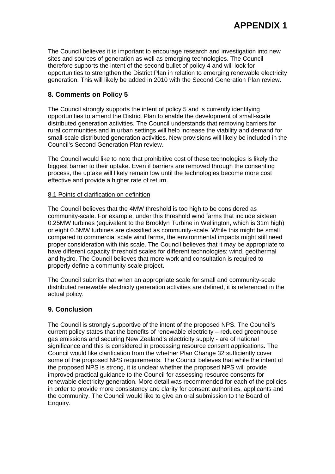The Council believes it is important to encourage research and investigation into new sites and sources of generation as well as emerging technologies. The Council therefore supports the intent of the second bullet of policy 4 and will look for opportunities to strengthen the District Plan in relation to emerging renewable electricity generation. This will likely be added in 2010 with the Second Generation Plan review.

### **8. Comments on Policy 5**

The Council strongly supports the intent of policy 5 and is currently identifying opportunities to amend the District Plan to enable the development of small-scale distributed generation activities. The Council understands that removing barriers for rural communities and in urban settings will help increase the viability and demand for small-scale distributed generation activities. New provisions will likely be included in the Council's Second Generation Plan review.

The Council would like to note that prohibitive cost of these technologies is likely the biggest barrier to their uptake. Even if barriers are removed through the consenting process, the uptake will likely remain low until the technologies become more cost effective and provide a higher rate of return.

#### 8.1 Points of clarification on definition

The Council believes that the 4MW threshold is too high to be considered as community-scale. For example, under this threshold wind farms that include sixteen 0.25MW turbines (equivalent to the Brooklyn Turbine in Wellington, which is 31m high) or eight 0.5MW turbines are classified as community-scale. While this might be small compared to commercial scale wind farms, the environmental impacts might still need proper consideration with this scale. The Council believes that it may be appropriate to have different capacity threshold scales for different technologies: wind, geothermal and hydro. The Council believes that more work and consultation is required to properly define a community-scale project.

The Council submits that when an appropriate scale for small and community-scale distributed renewable electricity generation activities are defined, it is referenced in the actual policy.

### **9. Conclusion**

The Council is strongly supportive of the intent of the proposed NPS. The Council's current policy states that the benefits of renewable electricity – reduced greenhouse gas emissions and securing New Zealand's electricity supply - are of national significance and this is considered in processing resource consent applications. The Council would like clarification from the whether Plan Change 32 sufficiently cover some of the proposed NPS requirements. The Council believes that while the intent of the proposed NPS is strong, it is unclear whether the proposed NPS will provide improved practical guidance to the Council for assessing resource consents for renewable electricity generation. More detail was recommended for each of the policies in order to provide more consistency and clarity for consent authorities, applicants and the community. The Council would like to give an oral submission to the Board of Enquiry.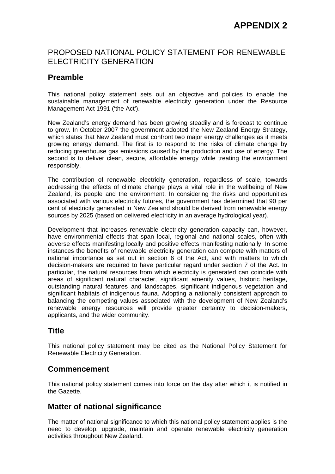# PROPOSED NATIONAL POLICY STATEMENT FOR RENEWABLE ELECTRICITY GENERATION

# **Preamble**

This national policy statement sets out an objective and policies to enable the sustainable management of renewable electricity generation under the Resource Management Act 1991 ('the Act').

New Zealand's energy demand has been growing steadily and is forecast to continue to grow. In October 2007 the government adopted the New Zealand Energy Strategy, which states that New Zealand must confront two major energy challenges as it meets growing energy demand. The first is to respond to the risks of climate change by reducing greenhouse gas emissions caused by the production and use of energy. The second is to deliver clean, secure, affordable energy while treating the environment responsibly.

The contribution of renewable electricity generation, regardless of scale, towards addressing the effects of climate change plays a vital role in the wellbeing of New Zealand, its people and the environment. In considering the risks and opportunities associated with various electricity futures, the government has determined that 90 per cent of electricity generated in New Zealand should be derived from renewable energy sources by 2025 (based on delivered electricity in an average hydrological year).

Development that increases renewable electricity generation capacity can, however, have environmental effects that span local, regional and national scales, often with adverse effects manifesting locally and positive effects manifesting nationally. In some instances the benefits of renewable electricity generation can compete with matters of national importance as set out in section 6 of the Act, and with matters to which decision-makers are required to have particular regard under section 7 of the Act. In particular, the natural resources from which electricity is generated can coincide with areas of significant natural character, significant amenity values, historic heritage, outstanding natural features and landscapes, significant indigenous vegetation and significant habitats of indigenous fauna. Adopting a nationally consistent approach to balancing the competing values associated with the development of New Zealand's renewable energy resources will provide greater certainty to decision-makers, applicants, and the wider community.

# **Title**

This national policy statement may be cited as the National Policy Statement for Renewable Electricity Generation.

# **Commencement**

This national policy statement comes into force on the day after which it is notified in the Gazette.

# **Matter of national significance**

The matter of national significance to which this national policy statement applies is the need to develop, upgrade, maintain and operate renewable electricity generation activities throughout New Zealand.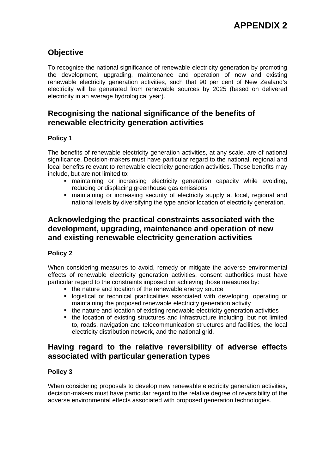# **Objective**

To recognise the national significance of renewable electricity generation by promoting the development, upgrading, maintenance and operation of new and existing renewable electricity generation activities, such that 90 per cent of New Zealand's electricity will be generated from renewable sources by 2025 (based on delivered electricity in an average hydrological year).

# **Recognising the national significance of the benefits of renewable electricity generation activities**

### **Policy 1**

The benefits of renewable electricity generation activities, at any scale, are of national significance. Decision-makers must have particular regard to the national, regional and local benefits relevant to renewable electricity generation activities. These benefits may include, but are not limited to:

- maintaining or increasing electricity generation capacity while avoiding, reducing or displacing greenhouse gas emissions
- maintaining or increasing security of electricity supply at local, regional and national levels by diversifying the type and/or location of electricity generation.

# **Acknowledging the practical constraints associated with the development, upgrading, maintenance and operation of new and existing renewable electricity generation activities**

### **Policy 2**

When considering measures to avoid, remedy or mitigate the adverse environmental effects of renewable electricity generation activities, consent authorities must have particular regard to the constraints imposed on achieving those measures by:

- the nature and location of the renewable energy source
- logistical or technical practicalities associated with developing, operating or maintaining the proposed renewable electricity generation activity
- the nature and location of existing renewable electricity generation activities
- the location of existing structures and infrastructure including, but not limited to, roads, navigation and telecommunication structures and facilities, the local electricity distribution network, and the national grid.

# **Having regard to the relative reversibility of adverse effects associated with particular generation types**

### **Policy 3**

When considering proposals to develop new renewable electricity generation activities, decision-makers must have particular regard to the relative degree of reversibility of the adverse environmental effects associated with proposed generation technologies.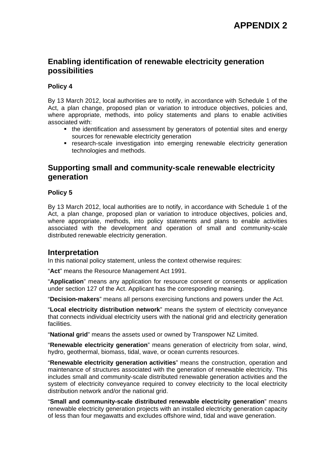# **Enabling identification of renewable electricity generation possibilities**

### **Policy 4**

By 13 March 2012, local authorities are to notify, in accordance with Schedule 1 of the Act, a plan change, proposed plan or variation to introduce objectives, policies and, where appropriate, methods, into policy statements and plans to enable activities associated with:

- the identification and assessment by generators of potential sites and energy sources for renewable electricity generation
- research-scale investigation into emerging renewable electricity generation technologies and methods.

### **Supporting small and community-scale renewable electricity generation**

#### **Policy 5**

By 13 March 2012, local authorities are to notify, in accordance with Schedule 1 of the Act, a plan change, proposed plan or variation to introduce objectives, policies and, where appropriate, methods, into policy statements and plans to enable activities associated with the development and operation of small and community-scale distributed renewable electricity generation.

### **Interpretation**

In this national policy statement, unless the context otherwise requires:

"**Act**" means the Resource Management Act 1991.

"**Application**" means any application for resource consent or consents or application under section 127 of the Act. Applicant has the corresponding meaning.

"**Decision-makers**" means all persons exercising functions and powers under the Act.

"**Local electricity distribution network**" means the system of electricity conveyance that connects individual electricity users with the national grid and electricity generation facilities.

"**National grid**" means the assets used or owned by Transpower NZ Limited.

"**Renewable electricity generation**" means generation of electricity from solar, wind, hydro, geothermal, biomass, tidal, wave, or ocean currents resources.

"**Renewable electricity generation activities**" means the construction, operation and maintenance of structures associated with the generation of renewable electricity. This includes small and community-scale distributed renewable generation activities and the system of electricity conveyance required to convey electricity to the local electricity distribution network and/or the national grid.

"**Small and community-scale distributed renewable electricity generation**" means renewable electricity generation projects with an installed electricity generation capacity of less than four megawatts and excludes offshore wind, tidal and wave generation.